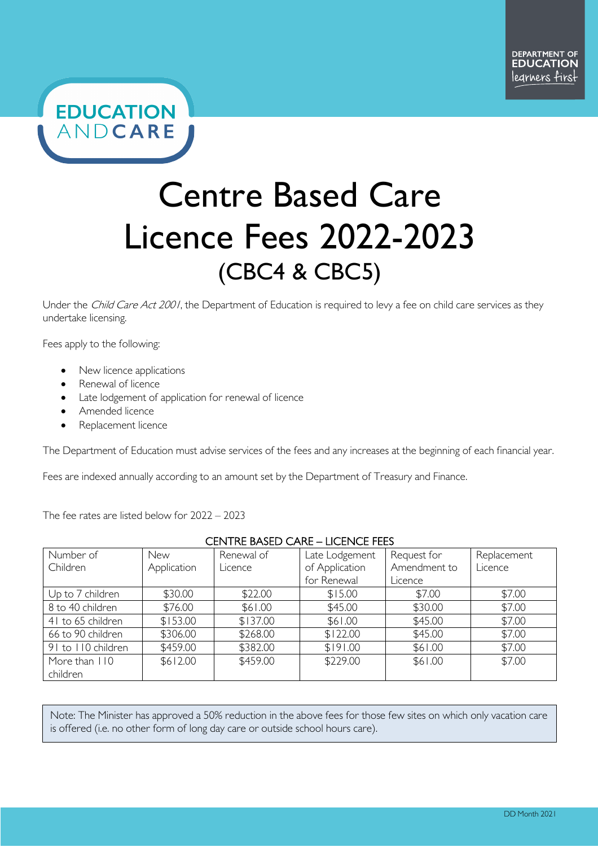

# Centre Based Care Licence Fees 2022-2023 (CBC4 & CBC5)

Under the Child Care Act 2001, the Department of Education is required to levy a fee on child care services as they undertake licensing.

Fees apply to the following:

- New licence applications
- Renewal of licence
- Late lodgement of application for renewal of licence
- Amended licence

ſ

 $\overline{\phantom{a}}$ 

Replacement licence

The Department of Education must advise services of the fees and any increases at the beginning of each financial year.

Fees are indexed annually according to an amount set by the Department of Treasury and Finance.

The fee rates are listed below for 2022 – 2023

### CENTRE BASED CARE – LICENCE FEES

| Number of          | <b>New</b>  | Renewal of | Late Lodgement | Request for  | Replacement |
|--------------------|-------------|------------|----------------|--------------|-------------|
| Children           | Application | Licence    | of Application | Amendment to | Licence     |
|                    |             |            | for Renewal    | Licence      |             |
| Up to 7 children   | \$30.00     | \$22.00    | \$15.00        | \$7.00       | \$7.00      |
| 8 to 40 children   | \$76.00     | \$61.00    | \$45.00        | \$30.00      | \$7.00      |
| 41 to 65 children  | \$153.00    | \$137.00   | \$61.00        | \$45.00      | \$7.00      |
| 66 to 90 children  | \$306.00    | \$268.00   | \$122.00       | \$45.00      | \$7.00      |
| 91 to 110 children | \$459.00    | \$382.00   | \$191.00       | \$61.00      | \$7.00      |
| More than 110      | \$612.00    | \$459.00   | \$229.00       | \$61.00      | \$7.00      |
| children           |             |            |                |              |             |

Note: The Minister has approved a 50% reduction in the above fees for those few sites on which only vacation care is offered (i.e. no other form of long day care or outside school hours care).